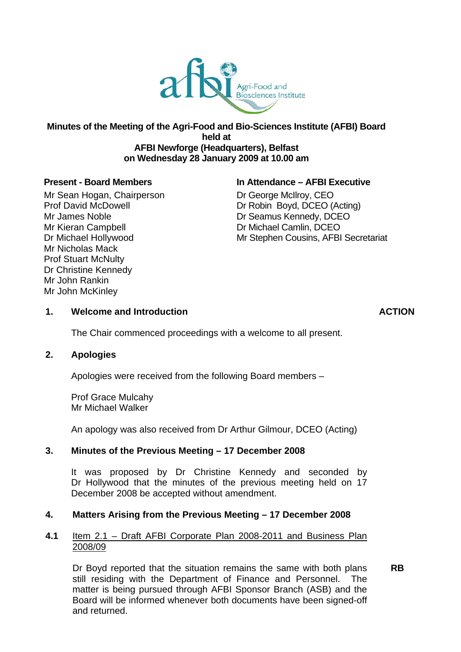

#### **Minutes of the Meeting of the Agri-Food and Bio-Sciences Institute (AFBI) Board held at AFBI Newforge (Headquarters), Belfast on Wednesday 28 January 2009 at 10.00 am**

Mr Sean Hogan, Chairperson **Dr George McIlroy, CEO** Mr James Noble **Dr Seamus Kennedy, DCEO** Mr Kieran Campbell **Dr Michael Camlin, DCEO** Mr Nicholas Mack Prof Stuart McNulty Dr Christine Kennedy Mr John Rankin Mr John McKinley

#### **Present - Board Members In Attendance – AFBI Executive**

Prof David McDowell Dr Robin Boyd, DCEO (Acting) Dr Michael Hollywood **Mr Stephen Cousins, AFBI Secretariat** 

## 1. Welcome and Introduction **ACTION ACTION**

The Chair commenced proceedings with a welcome to all present.

#### **2. Apologies**

Apologies were received from the following Board members –

Prof Grace Mulcahy Mr Michael Walker

An apology was also received from Dr Arthur Gilmour, DCEO (Acting)

## **3. Minutes of the Previous Meeting – 17 December 2008**

 It was proposed by Dr Christine Kennedy and seconded by Dr Hollywood that the minutes of the previous meeting held on 17 December 2008 be accepted without amendment.

## **4. Matters Arising from the Previous Meeting – 17 December 2008**

#### **4.1** Item 2.1 – Draft AFBI Corporate Plan 2008-2011 and Business Plan 2008/09

Dr Boyd reported that the situation remains the same with both plans **RB**  still residing with the Department of Finance and Personnel. The matter is being pursued through AFBI Sponsor Branch (ASB) and the Board will be informed whenever both documents have been signed-off and returned.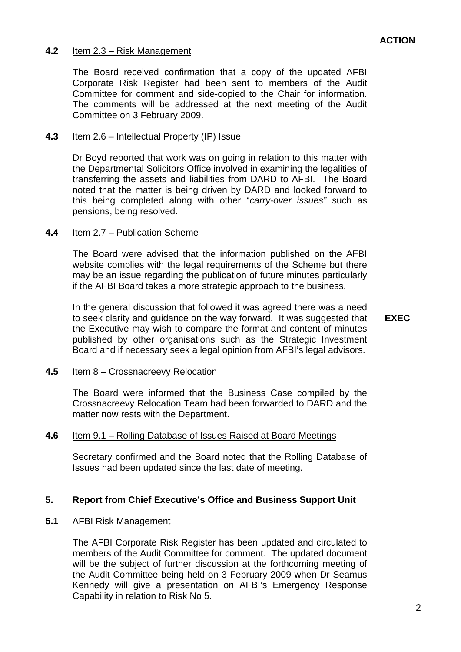## **4.2** Item 2.3 – Risk Management

The Board received confirmation that a copy of the updated AFBI Corporate Risk Register had been sent to members of the Audit Committee for comment and side-copied to the Chair for information. The comments will be addressed at the next meeting of the Audit Committee on 3 February 2009.

## **4.3** Item 2.6 – Intellectual Property (IP) Issue

Dr Boyd reported that work was on going in relation to this matter with the Departmental Solicitors Office involved in examining the legalities of transferring the assets and liabilities from DARD to AFBI. The Board noted that the matter is being driven by DARD and looked forward to this being completed along with other "*carry-over issues"* such as pensions, being resolved.

#### **4.4** Item 2.7 – Publication Scheme

if the AFBI Board takes a more strategic approach to the business. The Board were advised that the information published on the AFBI website complies with the legal requirements of the Scheme but there may be an issue regarding the publication of future minutes particularly

In the general discussion that followed it was agreed there was a need to seek clarity and guidance on the way forward. It was suggested that **EXEC**  the Executive may wish to compare the format and content of minutes published by other organisations such as the Strategic Investment Board and if necessary seek a legal opinion from AFBI's legal advisors.

## **4.5** Item 8 – Crossnacreevy Relocation

The Board were informed that the Business Case compiled by the Crossnacreevy Relocation Team had been forwarded to DARD and the matter now rests with the Department.

## **4.6** Item 9.1 – Rolling Database of Issues Raised at Board Meetings

Secretary confirmed and the Board noted that the Rolling Database of Issues had been updated since the last date of meeting.

## **5. Report from Chief Executive's Office and Business Support Unit**

## **5.1** AFBI Risk Management

The AFBI Corporate Risk Register has been updated and circulated to members of the Audit Committee for comment. The updated document will be the subject of further discussion at the forthcoming meeting of the Audit Committee being held on 3 February 2009 when Dr Seamus Kennedy will give a presentation on AFBI's Emergency Response Capability in relation to Risk No 5.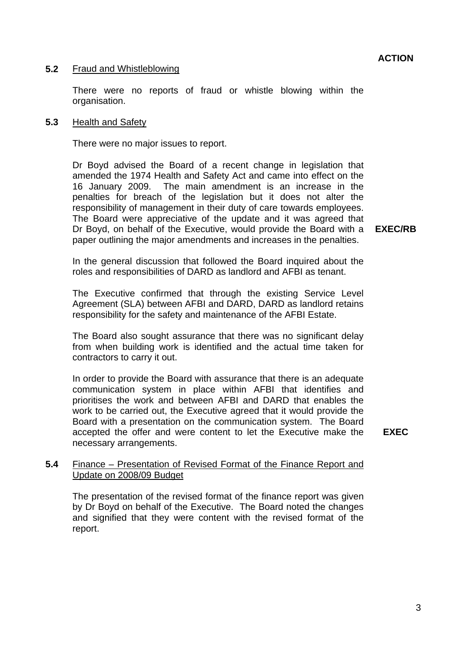### **5.2** Fraud and Whistleblowing

There were no reports of fraud or whistle blowing within the organisation.

#### **5.3** Health and Safety

There were no major issues to report.

The Board were appreciative of the update and it was agreed that Dr Boyd advised the Board of a recent change in legislation that amended the 1974 Health and Safety Act and came into effect on the 16 January 2009. The main amendment is an increase in the penalties for breach of the legislation but it does not alter the responsibility of management in their duty of care towards employees. Dr Boyd, on behalf of the Executive, would provide the Board with a paper outlining the major amendments and increases in the penalties.

**EXEC/RB** 

In the general discussion that followed the Board inquired about the roles and responsibilities of DARD as landlord and AFBI as tenant.

The Executive confirmed that through the existing Service Level Agreement (SLA) between AFBI and DARD, DARD as landlord retains responsibility for the safety and maintenance of the AFBI Estate.

The Board also sought assurance that there was no significant delay from when building work is identified and the actual time taken for contractors to carry it out.

In order to provide the Board with assurance that there is an adequate communication system in place within AFBI that identifies and prioritises the work and between AFBI and DARD that enables the work to be carried out, the Executive agreed that it would provide the Board with a presentation on the communication system. The Board accepted the offer and were content to let the Executive make the necessary arrangements.

**EXEC** 

## **5.4** Finance – Presentation of Revised Format of the Finance Report and Update on 2008/09 Budget

The presentation of the revised format of the finance report was given by Dr Boyd on behalf of the Executive. The Board noted the changes and signified that they were content with the revised format of the report.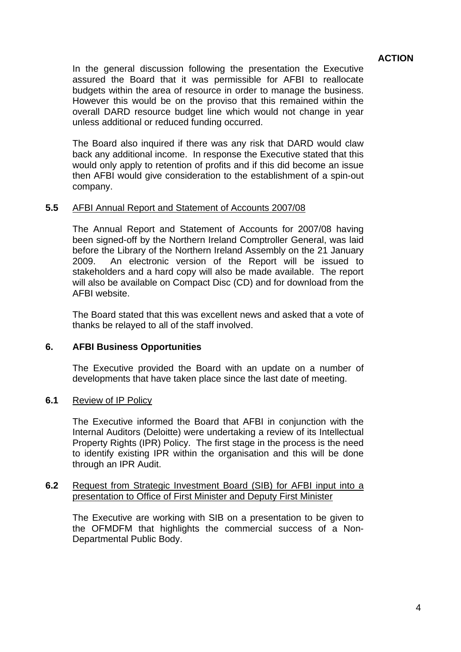## **ACTION**

In the general discussion following the presentation the Executive assured the Board that it was permissible for AFBI to reallocate budgets within the area of resource in order to manage the business. However this would be on the proviso that this remained within the overall DARD resource budget line which would not change in year unless additional or reduced funding occurred.

The Board also inquired if there was any risk that DARD would claw back any additional income. In response the Executive stated that this would only apply to retention of profits and if this did become an issue then AFBI would give consideration to the establishment of a spin-out company.

#### **5.5** AFBI Annual Report and Statement of Accounts 2007/08

The Annual Report and Statement of Accounts for 2007/08 having been signed-off by the Northern Ireland Comptroller General, was laid before the Library of the Northern Ireland Assembly on the 21 January 2009. An electronic version of the Report will be issued to stakeholders and a hard copy will also be made available. The report will also be available on Compact Disc (CD) and for download from the AFBI website.

The Board stated that this was excellent news and asked that a vote of thanks be relayed to all of the staff involved.

#### **6. AFBI Business Opportunities**

The Executive provided the Board with an update on a number of developments that have taken place since the last date of meeting.

#### **6.1** Review of IP Policy

The Executive informed the Board that AFBI in conjunction with the Internal Auditors (Deloitte) were undertaking a review of its Intellectual Property Rights (IPR) Policy. The first stage in the process is the need to identify existing IPR within the organisation and this will be done through an IPR Audit.

#### **6.2** Request from Strategic Investment Board (SIB) for AFBI input into a presentation to Office of First Minister and Deputy First Minister

The Executive are working with SIB on a presentation to be given to the OFMDFM that highlights the commercial success of a Non-Departmental Public Body.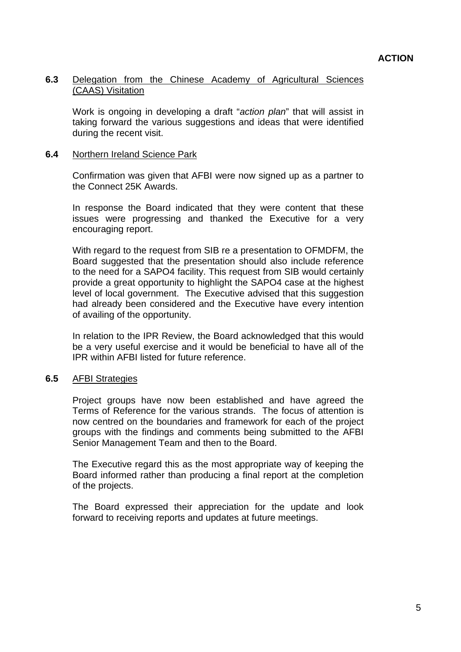### **6.3** Delegation from the Chinese Academy of Agricultural Sciences (CAAS) Visitation

Work is ongoing in developing a draft "*action plan*" that will assist in taking forward the various suggestions and ideas that were identified during the recent visit.

### **6.4** Northern Ireland Science Park

Confirmation was given that AFBI were now signed up as a partner to the Connect 25K Awards.

In response the Board indicated that they were content that these issues were progressing and thanked the Executive for a very encouraging report.

With regard to the request from SIB re a presentation to OFMDFM, the Board suggested that the presentation should also include reference to the need for a SAPO4 facility. This request from SIB would certainly provide a great opportunity to highlight the SAPO4 case at the highest level of local government. The Executive advised that this suggestion had already been considered and the Executive have every intention of availing of the opportunity.

In relation to the IPR Review, the Board acknowledged that this would be a very useful exercise and it would be beneficial to have all of the IPR within AFBI listed for future reference.

#### **6.5** AFBI Strategies

Project groups have now been established and have agreed the Terms of Reference for the various strands. The focus of attention is now centred on the boundaries and framework for each of the project groups with the findings and comments being submitted to the AFBI Senior Management Team and then to the Board.

The Executive regard this as the most appropriate way of keeping the Board informed rather than producing a final report at the completion of the projects.

The Board expressed their appreciation for the update and look forward to receiving reports and updates at future meetings.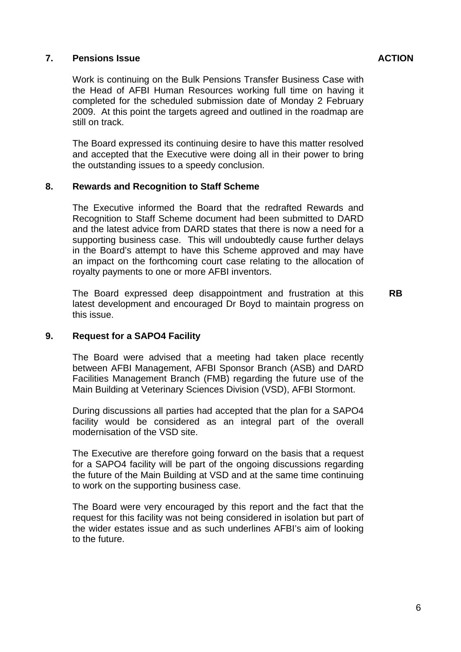### **7.** Pensions Issue **ACTION ACTION**

The Board expressed its continuing desire to have this matter resolved and accepted that the Executive were doing all in their power to bring the outstanding issues to a speedy conclusion.

## **8. Rewards and Recognition to Staff Scheme**

The Executive informed the Board that the redrafted Rewards and Recognition to Staff Scheme document had been submitted to DARD and the latest advice from DARD states that there is now a need for a supporting business case. This will undoubtedly cause further delays in the Board's attempt to have this Scheme approved and may have an impact on the forthcoming court case relating to the allocation of royalty payments to one or more AFBI inventors.

The Board expressed deep disappointment and frustration at this latest development and encouraged Dr Boyd to maintain progress on this issue.

**RB** 

## **9. Request for a SAPO4 Facility**

The Board were advised that a meeting had taken place recently between AFBI Management, AFBI Sponsor Branch (ASB) and DARD Facilities Management Branch (FMB) regarding the future use of the Main Building at Veterinary Sciences Division (VSD), AFBI Stormont.

During discussions all parties had accepted that the plan for a SAPO4 facility would be considered as an integral part of the overall modernisation of the VSD site.

The Executive are therefore going forward on the basis that a request for a SAPO4 facility will be part of the ongoing discussions regarding the future of the Main Building at VSD and at the same time continuing to work on the supporting business case.

The Board were very encouraged by this report and the fact that the request for this facility was not being considered in isolation but part of the wider estates issue and as such underlines AFBI's aim of looking to the future.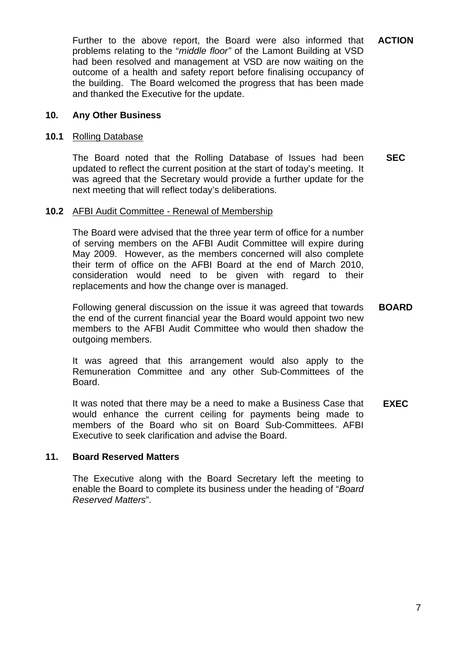Further to the above report, the Board were also informed that problems relating to the "*middle floor"* of the Lamont Building at VSD had been resolved and management at VSD are now waiting on the outcome of a health and safety report before finalising occupancy of the building. The Board welcomed the progress that has been made and thanked the Executive for the update. **ACTION** 

### **10. Any Other Business**

#### **10.1** Rolling Database

The Board noted that the Rolling Database of Issues had been updated to reflect the current position at the start of today's meeting. It was agreed that the Secretary would provide a further update for the next meeting that will reflect today's deliberations. **SEC** 

### **10.2** AFBI Audit Committee - Renewal of Membership

The Board were advised that the three year term of office for a number of serving members on the AFBI Audit Committee will expire during May 2009. However, as the members concerned will also complete their term of office on the AFBI Board at the end of March 2010, consideration would need to be given with regard to their replacements and how the change over is managed.

Following general discussion on the issue it was agreed that towards the end of the current financial year the Board would appoint two new members to the AFBI Audit Committee who would then shadow the outgoing members. **BOARD** 

It was agreed that this arrangement would also apply to the Remuneration Committee and any other Sub-Committees of the Board.

It was noted that there may be a need to make a Business Case that would enhance the current ceiling for payments being made to members of the Board who sit on Board Sub-Committees. AFBI Executive to seek clarification and advise the Board. **EXEC** 

#### **11. Board Reserved Matters**

The Executive along with the Board Secretary left the meeting to enable the Board to complete its business under the heading of "*Board Reserved Matters*".